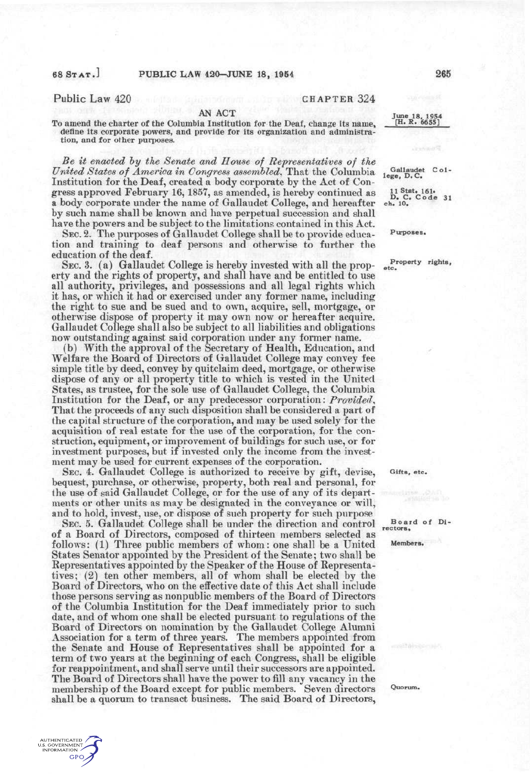AUTHENTICATED<br>U.S. GOVERNMENT<br>INFORMATION

**GPO** 

Public Law 420 CHAPTER 324

### AN ACT

To amend the charter of the Columbia Institution for the Deaf, change its name, define its corporate powers, and provide for its organization and administration, and for other purposes.

*Be it enacted hy the Senate and House of Representatives of the United States of America in Congress assembled^* That the Columbia Institution for the Deaf, created a body corporate by the Act of Congress approved February 16, 1857, as amended, is hereby continued as a body corporate under the name of Gallaudet College, and hereafter by such name shall be known and have perpetual succession and shall have the powers and be subject to the limitations contained in this Act.

SEC. 2. The purposes of Gallaudet College shall be to provide education and training to deaf persons and otherwise to further the education of the deaf.

SEC. 3. (a) Gallaudet College is hereby invested with all the property and the rights of property, and shall have and be entitled to use all authority, privileges, and possessions and all legal rights which it has, or which it had or exercised under any former name, including the right to sue and be sued and to own, acquire, sell, mortgage, or otherwise dispose of property it may own now or hereafter acquire. Gallaudet College shall also be subject to all liabilities and obligations now outstanding against said corporation under any former name.

(b) With the approval of the Secretary of Health, Education, and Welfare the Board of Directors of Gallaudet College may convey fee simple title by deed, convey by quitclaim deed, mortgage, or otherwise dispose of any or all property title to which is vested in the United States, as trustee, for the sole use of Gallaudet College, the Columbia Institution for the Deaf, or any predecessor corporation: *Provided^*  That the proceeds of any such disposition shall be considered a part of the capital structure of the corporation, and may be used solely for the acquisition of real estate for the use of the corporation, for the construction, equipment, or improvement of buildings for such use, or for investment purposes, but if invested only the income from the investment may be used for current expenses of the corporation.

SEC, 4. Gallaudet College is authorized to receive by gift, devise, bequest, purchase, or otherwise, property, both real and personal, for the use of said Gallaudet College, or for the use of any of its departments or other units as may be designated in the conveyance or will, and to hold, invest, use, or dispose of such property for such purpose

SEC. 5. Gallaudet College shall be under the direction and control of a Board of Directors, composed of thirteen members selected as follows: (1) Three public members of whom: one shall be a United States Senator appointed by the President of the Senate; two shall be Representatives appointed by the Speaker of the House of Representatives; (2) ten other members, all of whom shall be elected by the Board of Directors, who on the effective date of this Act shall include those persons serving as nonpublic members of the Board of Directors of the Columbia Institution for the Deaf immediately prior to such date, and of whom one shall be elected pursuant to regulations of the Board of Directors on nomination by the Gallaudet College Alumni Association for a term of three years. The members appointed from the Senate and House of Representatives shall be appointed for a term of two years at the beginning of each Congress, shall be eligible for reappointment, and shall serve until their successors are appointed. The Board of Directors shall have the power to fill any vacancy in the membership of the Board except for public members. Seven directors shall be a quorum to transact business. The said Board of Directors,

**June 18, 1954 [H. R. 665S]** 

Gallaudet College, D.C.

11 Stat. 161.<br> **D.** C. Code 31<br>
ch. 10.

**Purposes.** 

**Property rights, etc.** 

**Gifts, etc.** 

Board of Di**rectors.** 

**Members.** 

**Quorum.**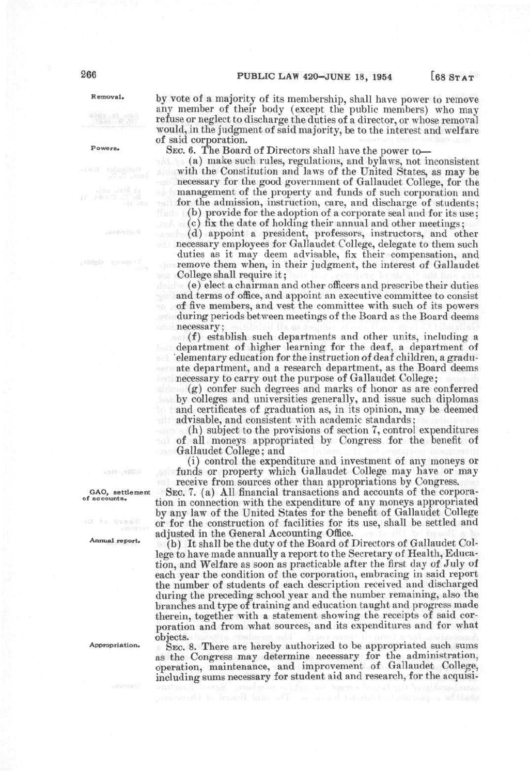Removal. by yote of a majority of its membership, shall have power to remove any member of their body (except the public members) who may refuse or neglect to discharge the duties of a director, or whose removal would, in the judgment of said majority, be to the interest and welfare of said corporation.

Powers. SEC. 6. The Board of Directors shall have the power to—

(a) make such rules, regulations, and bylaws, not inconsistent with the Constitution and laws of the United States, as may be necessary for the good government of Gallaudet College, for the management of the property and funds of such corporation and for the admission, instruction, care, and discharge of students;

(b) provide for the adoption of a corporate seal and for its use; (c) fix the date of holding their annual and other meetings;

 $(d)$  appoint a president, professors, instructors, and other necessary employees for Gallaudet College, delegate to them such duties as it may deem advisable, fix their compensation, and *remove them when, in their judgment, the interest of Gallaudet* College shall require it;

(e) elect a chairman and other officers and prescribe their duties and terms of office, and appoint an executive committee to consist of five members, and vest the committee with such of its powers during periods between meetings of the Board as the Board deems necessary;

(f) establish such departments and other units, including a department of higher learning for the deaf, a department of elementary education for the instruction of deaf children, a graduate department, and a research department, as the Board deems necessary to carry out the purpose of Gallaudet College;

(g) confer such degrees and marks of honor as are conferred by colleges and universities generally, and issue such diplomas and certificates of graduation as, in its opinion, may be deemed advisable, and consistent with academic standards;

(h) subject to the provisions of section 7, control expenditures of all moneys appropriated by Congress for the benefit of Gallaudet College; and

(i) control the expenditure and investment of any moneys or funds or property which Gallaudet College may have or may receive from sources other than appropriations by Congress.

GAO, settlement SEC. 7. (a) All financial transactions and accounts of the corpora-<br>of accounts. tion in connection with the expenditure of any moneys appropriated by any law of the United States for the benefit of Gallaudet College or for the construction of facilities for its use, shall be settled and adjusted in the General Accounting Office.

Annual report. *<i>(b)* It shall be the duty of the Board of Directors of Gallaudet College to have made annually a report to the Secretary of Health, Education, and Welfare as soon as practicable after the first day of July of each year the condition of the corporation, embracing in said report the number of students of each description received and discharged during the preceding school year and the number remaining, also the branches and type of training and education taught and progress made therein, together with a statement showing the receipts of said corporation and from what sources, and its expenditures and for what objects.

Appropriation.  $\Sigma_{EC}$ , 8. There are hereby authorized to be appropriated such sums as the Congress may determine necessary for the administration, operation, maintenance, and improvement of Gallaudet College, including sums necessary for student aid and research, for the acquisi-

3 a chuan 2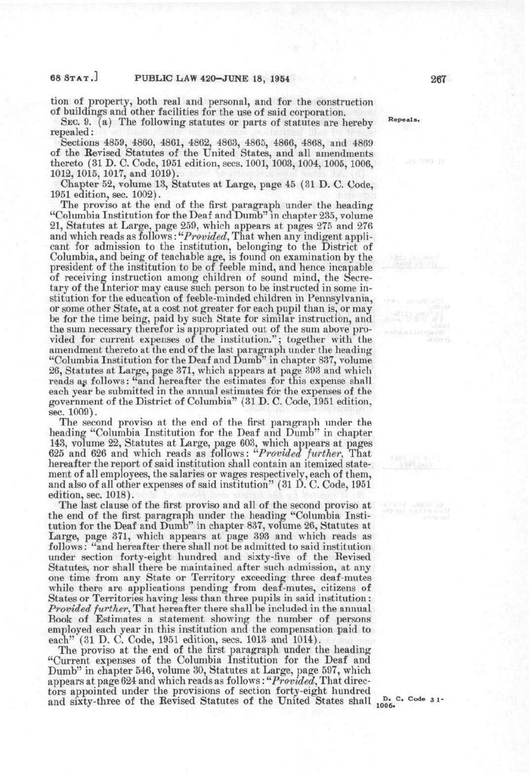tion of property, both real and personal, and for the construction of buildings and other facilities for the use of said corporation.

SEC. 9. (a) The following statutes or parts of statutes are hereby Repeals. repealed:

Sections 4859, 4860, 4861, 4862, 4863, 4865, 4866, 4868, and 4869 of the Revised Statutes of the United States, and all amendments thereto (31 D. C. Code, 1951 edition, sees. 1001, 1003,1004,1005, 1006, 1012, 1015, 1017, and 1019).

Chapter 52, volume 13, Statutes at Large, page 45 (31 D. C. Code, 1951 edition, sec. 1002).

The proviso at the end of the first paragraph under the heading "Columbia Institution for the Deaf and Dumb" in chapter 235, volume 21, Statutes at Large, page 259, which appears at pages 275 and 276 and which reads as follows: "*Provided*, That when any indigent applicant for admission to the institution, belonging to the District of Columbia, and being of teachable age, is found on examination by the president of the institution to be of feeble mind, and hence incapable of receiving instruction among children of sound mind, the Secretary of the Interior may cause such person to be instructed in some institution for the education of feeble-minded children in Pennsylvania, or some other State, at a cost not greater for each pupil than is, or may be for the time being, paid by such State for similar instruction, and the sum necessary therefor is appropriated out of the sum above provided for current expenses of the institution."; together with the amendment thereto at the end of the last paragraph under the heading "Columbia Institution for the Deaf and Dumb" in chapter 837, volume 26, Statutes at Large, page 371, which appears at page 393 and which reads as follows: "and hereafter the estimates for this expense shall each year be submitted in the annual estimates for the expenses of the government of the District of Columbia" (31 D. C. Code, 1951 edition, sec. 1009).

The second proviso at the end of the first paragraph under the heading "Columbia Institution for the Deaf and Dumb" in chapter 143, volume 22, Statutes at Large, page 603, which appears at pages 625 and 626 and which reads as follows: *''''Provided further^* That hereafter the report of said institution shall contain an itemized statement of all employees, the salaries or wages respectively, each of them, and also of all other expenses of said institution" (31 D. C. Code, 1951 edition, sec. 1018).

The last clause of the first proviso and all of the second proviso at the end of the first paragraph under the heading "Columbia Institution for the Deaf and Dumb" in chapter 837, volume 26, Statutes at Large, page 371, which appears at page 393 and which reads as follows: "and hereafter there shall not be admitted to said institution under section forty-eight hundred and sixty-five of the Revised Statutes, nor shall there be maintained after such admission, at any one time from any State or Territory exceeding three deaf-mutes while there are applications pending from deaf-mutes, citizens of States or Territories having less than three pupils in said institution: *Provided further^* That hereafter there shall be included in the annual Book of Estimates a statement showing the number of persons employed each year in this institution and the compensation paid to each" (31 D. C. Code, 1951 edition, sees. 1013 and 1014).

The proviso at the end of the first paragraph under the heading "Current expenses of the Columbia Institution for the Deaf and Dumb" in chapter 546, volume 30, Statutes at Large, page 597, which appears at page 624 and which reads as follows: "Provided, That directors appointed under the provisions of section forty-eight hundred and sixty-three of the Revised Statutes of the United States shall  $_{1006}^{D}$ . C. Code 31-